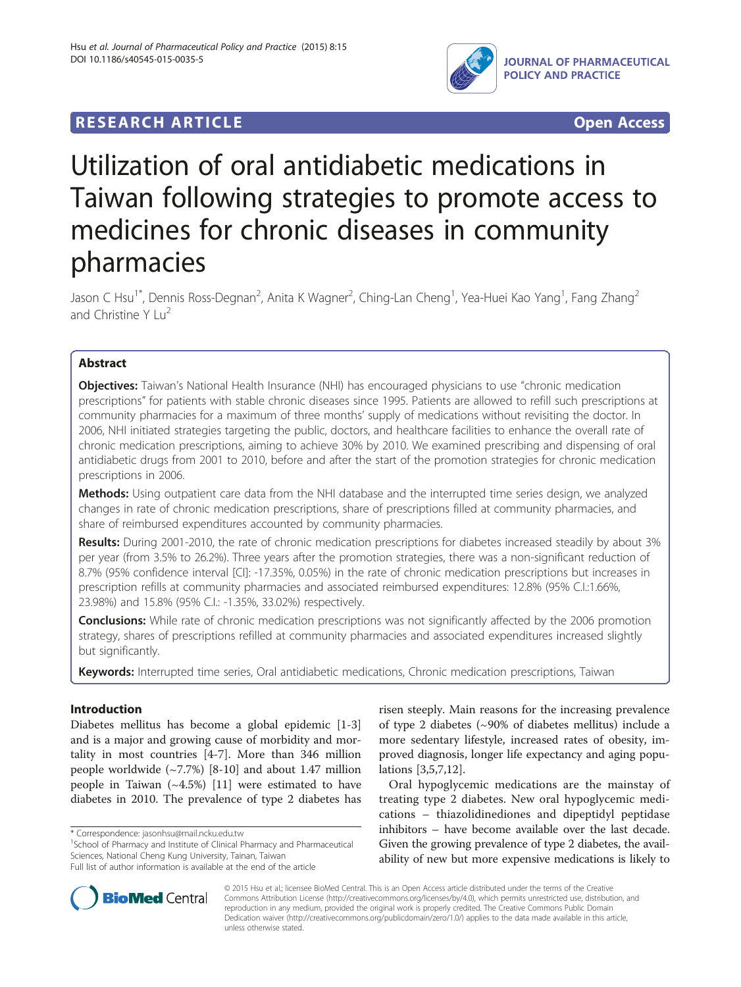

# **RESEARCH ARTICLE Example 2014 CONSUMING A RESEARCH ARTICLE**

# Utilization of oral antidiabetic medications in Taiwan following strategies to promote access to medicines for chronic diseases in community pharmacies

Jason C Hsu<sup>1\*</sup>, Dennis Ross-Degnan<sup>2</sup>, Anita K Wagner<sup>2</sup>, Ching-Lan Cheng<sup>1</sup>, Yea-Huei Kao Yang<sup>1</sup>, Fang Zhang<sup>2</sup> and Christine  $Y \perp u^2$ 

# Abstract

Objectives: Taiwan's National Health Insurance (NHI) has encouraged physicians to use "chronic medication prescriptions" for patients with stable chronic diseases since 1995. Patients are allowed to refill such prescriptions at community pharmacies for a maximum of three months' supply of medications without revisiting the doctor. In 2006, NHI initiated strategies targeting the public, doctors, and healthcare facilities to enhance the overall rate of chronic medication prescriptions, aiming to achieve 30% by 2010. We examined prescribing and dispensing of oral antidiabetic drugs from 2001 to 2010, before and after the start of the promotion strategies for chronic medication prescriptions in 2006.

Methods: Using outpatient care data from the NHI database and the interrupted time series design, we analyzed changes in rate of chronic medication prescriptions, share of prescriptions filled at community pharmacies, and share of reimbursed expenditures accounted by community pharmacies.

Results: During 2001-2010, the rate of chronic medication prescriptions for diabetes increased steadily by about 3% per year (from 3.5% to 26.2%). Three years after the promotion strategies, there was a non-significant reduction of 8.7% (95% confidence interval [CI]: -17.35%, 0.05%) in the rate of chronic medication prescriptions but increases in prescription refills at community pharmacies and associated reimbursed expenditures: 12.8% (95% C.I.:1.66%, 23.98%) and 15.8% (95% C.I.: -1.35%, 33.02%) respectively.

**Conclusions:** While rate of chronic medication prescriptions was not significantly affected by the 2006 promotion strategy, shares of prescriptions refilled at community pharmacies and associated expenditures increased slightly but significantly.

Keywords: Interrupted time series, Oral antidiabetic medications, Chronic medication prescriptions, Taiwan

# Introduction

Diabetes mellitus has become a global epidemic [[1-3](#page-7-0)] and is a major and growing cause of morbidity and mortality in most countries [[4](#page-7-0)[-7](#page-8-0)]. More than 346 million people worldwide (~7.7%) [\[8-10](#page-8-0)] and about 1.47 million people in Taiwan  $(-4.5%)$  [[11\]](#page-8-0) were estimated to have diabetes in 2010. The prevalence of type 2 diabetes has

<sup>1</sup>School of Pharmacy and Institute of Clinical Pharmacy and Pharmaceutical Sciences, National Cheng Kung University, Tainan, Taiwan



Oral hypoglycemic medications are the mainstay of treating type 2 diabetes. New oral hypoglycemic medications – thiazolidinediones and dipeptidyl peptidase inhibitors – have become available over the last decade. Given the growing prevalence of type 2 diabetes, the availability of new but more expensive medications is likely to



© 2015 Hsu et al.; licensee BioMed Central. This is an Open Access article distributed under the terms of the Creative Commons Attribution License [\(http://creativecommons.org/licenses/by/4.0\)](http://creativecommons.org/licenses/by/4.0), which permits unrestricted use, distribution, and reproduction in any medium, provided the original work is properly credited. The Creative Commons Public Domain Dedication waiver [\(http://creativecommons.org/publicdomain/zero/1.0/](http://creativecommons.org/publicdomain/zero/1.0/)) applies to the data made available in this article, unless otherwise stated.

<sup>\*</sup> Correspondence: [jasonhsu@mail.ncku.edu.tw](mailto:jasonhsu@mail.ncku.edu.tw) <sup>1</sup>

Full list of author information is available at the end of the article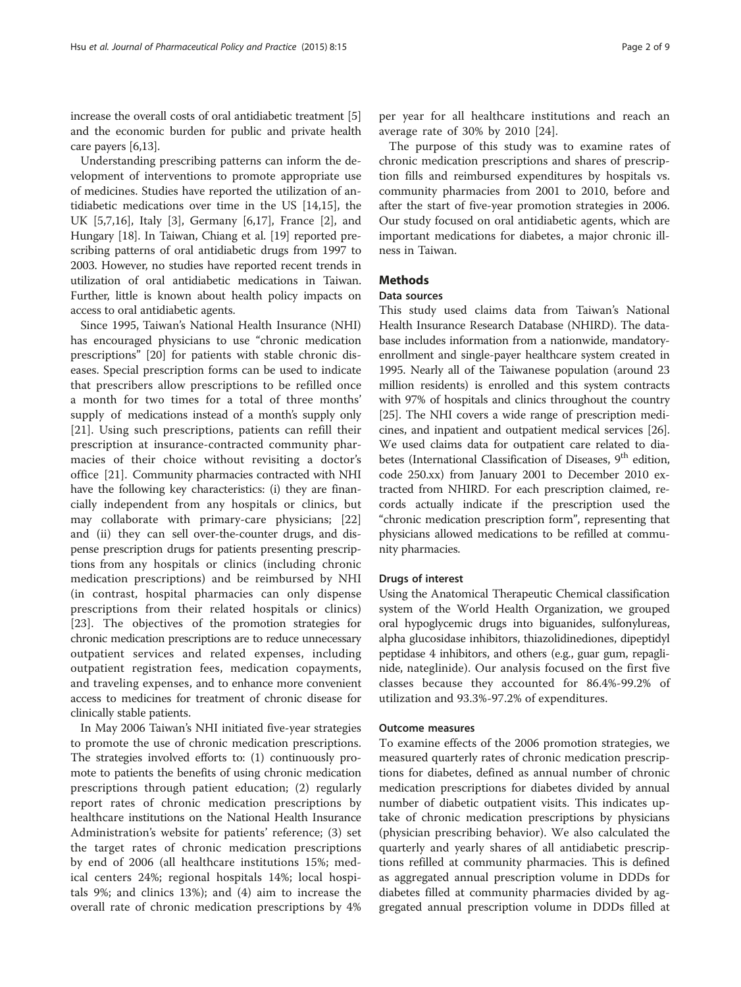increase the overall costs of oral antidiabetic treatment [[5](#page-8-0)] and the economic burden for public and private health care payers [[6,13](#page-8-0)].

Understanding prescribing patterns can inform the development of interventions to promote appropriate use of medicines. Studies have reported the utilization of antidiabetic medications over time in the US [\[14,15\]](#page-8-0), the UK [\[5,7,16](#page-8-0)], Italy [[3\]](#page-7-0), Germany [\[6,17](#page-8-0)], France [[2](#page-7-0)], and Hungary [\[18\]](#page-8-0). In Taiwan, Chiang et al. [\[19\]](#page-8-0) reported prescribing patterns of oral antidiabetic drugs from 1997 to 2003. However, no studies have reported recent trends in utilization of oral antidiabetic medications in Taiwan. Further, little is known about health policy impacts on access to oral antidiabetic agents.

Since 1995, Taiwan's National Health Insurance (NHI) has encouraged physicians to use "chronic medication prescriptions" [[20](#page-8-0)] for patients with stable chronic diseases. Special prescription forms can be used to indicate that prescribers allow prescriptions to be refilled once a month for two times for a total of three months' supply of medications instead of a month's supply only [[21\]](#page-8-0). Using such prescriptions, patients can refill their prescription at insurance-contracted community pharmacies of their choice without revisiting a doctor's office [[21\]](#page-8-0). Community pharmacies contracted with NHI have the following key characteristics: (i) they are financially independent from any hospitals or clinics, but may collaborate with primary-care physicians; [\[22](#page-8-0)] and (ii) they can sell over-the-counter drugs, and dispense prescription drugs for patients presenting prescriptions from any hospitals or clinics (including chronic medication prescriptions) and be reimbursed by NHI (in contrast, hospital pharmacies can only dispense prescriptions from their related hospitals or clinics) [[23\]](#page-8-0). The objectives of the promotion strategies for chronic medication prescriptions are to reduce unnecessary outpatient services and related expenses, including outpatient registration fees, medication copayments, and traveling expenses, and to enhance more convenient access to medicines for treatment of chronic disease for clinically stable patients.

In May 2006 Taiwan's NHI initiated five-year strategies to promote the use of chronic medication prescriptions. The strategies involved efforts to: (1) continuously promote to patients the benefits of using chronic medication prescriptions through patient education; (2) regularly report rates of chronic medication prescriptions by healthcare institutions on the National Health Insurance Administration's website for patients' reference; (3) set the target rates of chronic medication prescriptions by end of 2006 (all healthcare institutions 15%; medical centers 24%; regional hospitals 14%; local hospitals 9%; and clinics 13%); and (4) aim to increase the overall rate of chronic medication prescriptions by 4%

per year for all healthcare institutions and reach an average rate of 30% by 2010 [\[24](#page-8-0)].

The purpose of this study was to examine rates of chronic medication prescriptions and shares of prescription fills and reimbursed expenditures by hospitals vs. community pharmacies from 2001 to 2010, before and after the start of five-year promotion strategies in 2006. Our study focused on oral antidiabetic agents, which are important medications for diabetes, a major chronic illness in Taiwan.

# **Methods**

#### Data sources

This study used claims data from Taiwan's National Health Insurance Research Database (NHIRD). The database includes information from a nationwide, mandatoryenrollment and single-payer healthcare system created in 1995. Nearly all of the Taiwanese population (around 23 million residents) is enrolled and this system contracts with 97% of hospitals and clinics throughout the country [[25](#page-8-0)]. The NHI covers a wide range of prescription medicines, and inpatient and outpatient medical services [[26](#page-8-0)]. We used claims data for outpatient care related to diabetes (International Classification of Diseases, 9<sup>th</sup> edition, code 250.xx) from January 2001 to December 2010 extracted from NHIRD. For each prescription claimed, records actually indicate if the prescription used the "chronic medication prescription form", representing that physicians allowed medications to be refilled at community pharmacies.

### Drugs of interest

Using the Anatomical Therapeutic Chemical classification system of the World Health Organization, we grouped oral hypoglycemic drugs into biguanides, sulfonylureas, alpha glucosidase inhibitors, thiazolidinediones, dipeptidyl peptidase 4 inhibitors, and others (e.g., guar gum, repaglinide, nateglinide). Our analysis focused on the first five classes because they accounted for 86.4%-99.2% of utilization and 93.3%-97.2% of expenditures.

#### Outcome measures

To examine effects of the 2006 promotion strategies, we measured quarterly rates of chronic medication prescriptions for diabetes, defined as annual number of chronic medication prescriptions for diabetes divided by annual number of diabetic outpatient visits. This indicates uptake of chronic medication prescriptions by physicians (physician prescribing behavior). We also calculated the quarterly and yearly shares of all antidiabetic prescriptions refilled at community pharmacies. This is defined as aggregated annual prescription volume in DDDs for diabetes filled at community pharmacies divided by aggregated annual prescription volume in DDDs filled at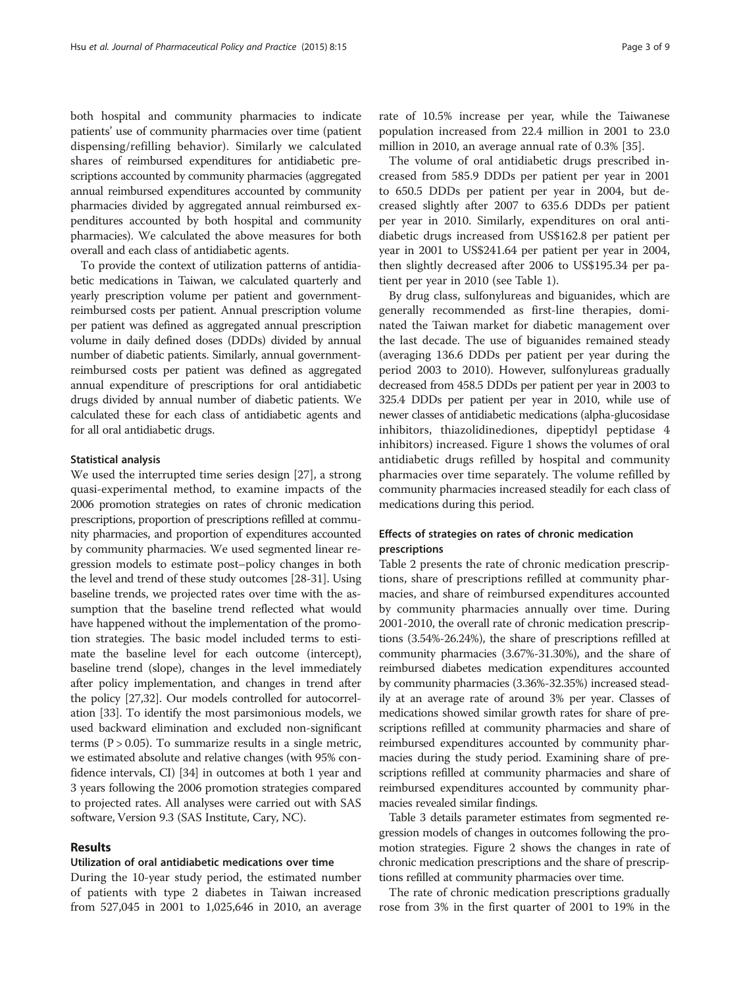both hospital and community pharmacies to indicate patients' use of community pharmacies over time (patient dispensing/refilling behavior). Similarly we calculated shares of reimbursed expenditures for antidiabetic prescriptions accounted by community pharmacies (aggregated annual reimbursed expenditures accounted by community pharmacies divided by aggregated annual reimbursed expenditures accounted by both hospital and community pharmacies). We calculated the above measures for both overall and each class of antidiabetic agents.

To provide the context of utilization patterns of antidiabetic medications in Taiwan, we calculated quarterly and yearly prescription volume per patient and governmentreimbursed costs per patient. Annual prescription volume per patient was defined as aggregated annual prescription volume in daily defined doses (DDDs) divided by annual number of diabetic patients. Similarly, annual governmentreimbursed costs per patient was defined as aggregated annual expenditure of prescriptions for oral antidiabetic drugs divided by annual number of diabetic patients. We calculated these for each class of antidiabetic agents and for all oral antidiabetic drugs.

#### Statistical analysis

We used the interrupted time series design [\[27](#page-8-0)], a strong quasi-experimental method, to examine impacts of the 2006 promotion strategies on rates of chronic medication prescriptions, proportion of prescriptions refilled at community pharmacies, and proportion of expenditures accounted by community pharmacies. We used segmented linear regression models to estimate post–policy changes in both the level and trend of these study outcomes [[28-31\]](#page-8-0). Using baseline trends, we projected rates over time with the assumption that the baseline trend reflected what would have happened without the implementation of the promotion strategies. The basic model included terms to estimate the baseline level for each outcome (intercept), baseline trend (slope), changes in the level immediately after policy implementation, and changes in trend after the policy [[27,32](#page-8-0)]. Our models controlled for autocorrelation [\[33\]](#page-8-0). To identify the most parsimonious models, we used backward elimination and excluded non-significant terms ( $P > 0.05$ ). To summarize results in a single metric, we estimated absolute and relative changes (with 95% confidence intervals, CI) [\[34\]](#page-8-0) in outcomes at both 1 year and 3 years following the 2006 promotion strategies compared to projected rates. All analyses were carried out with SAS software, Version 9.3 (SAS Institute, Cary, NC).

# Results

#### Utilization of oral antidiabetic medications over time

During the 10-year study period, the estimated number of patients with type 2 diabetes in Taiwan increased from 527,045 in 2001 to 1,025,646 in 2010, an average rate of 10.5% increase per year, while the Taiwanese population increased from 22.4 million in 2001 to 23.0 million in 2010, an average annual rate of 0.3% [\[35\]](#page-8-0).

The volume of oral antidiabetic drugs prescribed increased from 585.9 DDDs per patient per year in 2001 to 650.5 DDDs per patient per year in 2004, but decreased slightly after 2007 to 635.6 DDDs per patient per year in 2010. Similarly, expenditures on oral antidiabetic drugs increased from US\$162.8 per patient per year in 2001 to US\$241.64 per patient per year in 2004, then slightly decreased after 2006 to US\$195.34 per patient per year in 2010 (see Table [1](#page-3-0)).

By drug class, sulfonylureas and biguanides, which are generally recommended as first-line therapies, dominated the Taiwan market for diabetic management over the last decade. The use of biguanides remained steady (averaging 136.6 DDDs per patient per year during the period 2003 to 2010). However, sulfonylureas gradually decreased from 458.5 DDDs per patient per year in 2003 to 325.4 DDDs per patient per year in 2010, while use of newer classes of antidiabetic medications (alpha-glucosidase inhibitors, thiazolidinediones, dipeptidyl peptidase 4 inhibitors) increased. Figure [1](#page-3-0) shows the volumes of oral antidiabetic drugs refilled by hospital and community pharmacies over time separately. The volume refilled by community pharmacies increased steadily for each class of medications during this period.

### Effects of strategies on rates of chronic medication prescriptions

Table [2](#page-4-0) presents the rate of chronic medication prescriptions, share of prescriptions refilled at community pharmacies, and share of reimbursed expenditures accounted by community pharmacies annually over time. During 2001-2010, the overall rate of chronic medication prescriptions (3.54%-26.24%), the share of prescriptions refilled at community pharmacies (3.67%-31.30%), and the share of reimbursed diabetes medication expenditures accounted by community pharmacies (3.36%-32.35%) increased steadily at an average rate of around 3% per year. Classes of medications showed similar growth rates for share of prescriptions refilled at community pharmacies and share of reimbursed expenditures accounted by community pharmacies during the study period. Examining share of prescriptions refilled at community pharmacies and share of reimbursed expenditures accounted by community pharmacies revealed similar findings.

Table [3](#page-5-0) details parameter estimates from segmented regression models of changes in outcomes following the promotion strategies. Figure [2](#page-6-0) shows the changes in rate of chronic medication prescriptions and the share of prescriptions refilled at community pharmacies over time.

The rate of chronic medication prescriptions gradually rose from 3% in the first quarter of 2001 to 19% in the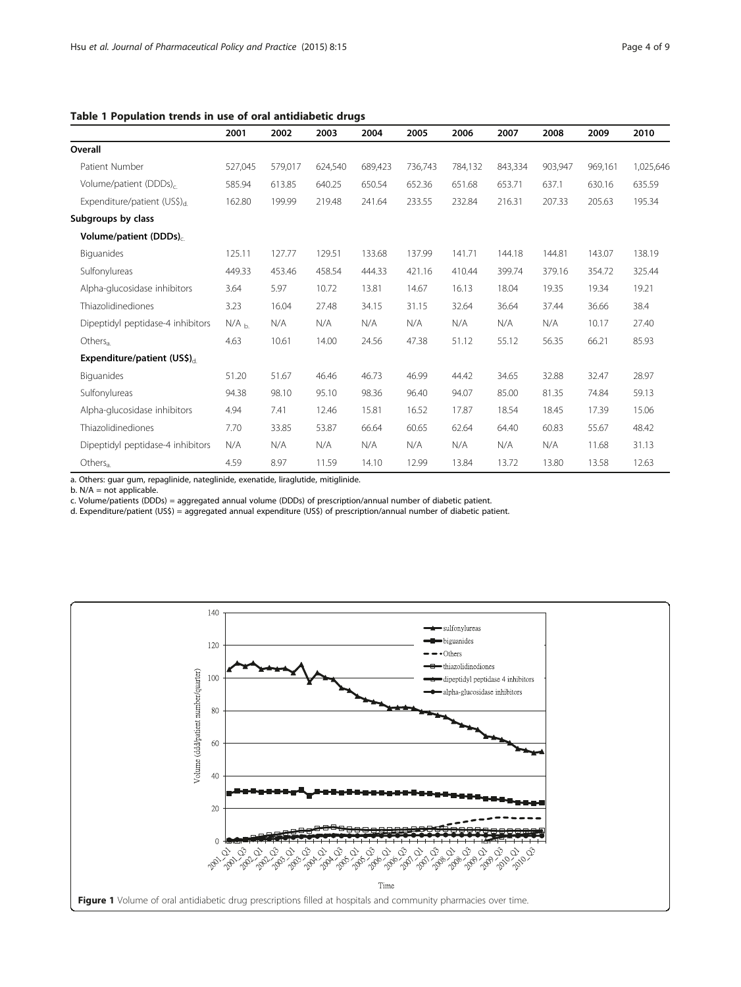<span id="page-3-0"></span>Table 1 Population trends in use of oral antidiabetic drugs

|                                          | 2001    | 2002    | 2003    | 2004    | 2005    | 2006    | 2007    | 2008    | 2009    | 2010      |
|------------------------------------------|---------|---------|---------|---------|---------|---------|---------|---------|---------|-----------|
| Overall                                  |         |         |         |         |         |         |         |         |         |           |
| Patient Number                           | 527.045 | 579.017 | 624,540 | 689.423 | 736,743 | 784.132 | 843.334 | 903,947 | 969,161 | 1,025,646 |
| Volume/patient (DDDs)                    | 585.94  | 613.85  | 640.25  | 650.54  | 652.36  | 651.68  | 653.71  | 637.1   | 630.16  | 635.59    |
| Expenditure/patient $(US\xi)_{\rm d}$    | 162.80  | 199.99  | 219.48  | 241.64  | 233.55  | 232.84  | 216.31  | 207.33  | 205.63  | 195.34    |
| Subgroups by class                       |         |         |         |         |         |         |         |         |         |           |
| Volume/patient (DDDs)                    |         |         |         |         |         |         |         |         |         |           |
| Biguanides                               | 125.11  | 127.77  | 129.51  | 133.68  | 137.99  | 141.71  | 144.18  | 144.81  | 143.07  | 138.19    |
| Sulfonylureas                            | 449.33  | 453.46  | 458.54  | 444.33  | 421.16  | 410.44  | 399.74  | 379.16  | 354.72  | 325.44    |
| Alpha-glucosidase inhibitors             | 3.64    | 5.97    | 10.72   | 13.81   | 14.67   | 16.13   | 18.04   | 19.35   | 19.34   | 19.21     |
| Thiazolidinediones                       | 3.23    | 16.04   | 27.48   | 34.15   | 31.15   | 32.64   | 36.64   | 37.44   | 36.66   | 38.4      |
| Dipeptidyl peptidase-4 inhibitors        | $N/A_h$ | N/A     | N/A     | N/A     | N/A     | N/A     | N/A     | N/A     | 10.17   | 27.40     |
| Others <sub>a</sub>                      | 4.63    | 10.61   | 14.00   | 24.56   | 47.38   | 51.12   | 55.12   | 56.35   | 66.21   | 85.93     |
| Expenditure/patient (US\$) <sub>d.</sub> |         |         |         |         |         |         |         |         |         |           |
| Biguanides                               | 51.20   | 51.67   | 46.46   | 46.73   | 46.99   | 44.42   | 34.65   | 32.88   | 32.47   | 28.97     |
| Sulfonylureas                            | 94.38   | 98.10   | 95.10   | 98.36   | 96.40   | 94.07   | 85.00   | 81.35   | 74.84   | 59.13     |
| Alpha-glucosidase inhibitors             | 4.94    | 7.41    | 12.46   | 15.81   | 16.52   | 17.87   | 18.54   | 18.45   | 17.39   | 15.06     |
| Thiazolidinediones                       | 7.70    | 33.85   | 53.87   | 66.64   | 60.65   | 62.64   | 64.40   | 60.83   | 55.67   | 48.42     |
| Dipeptidyl peptidase-4 inhibitors        | N/A     | N/A     | N/A     | N/A     | N/A     | N/A     | N/A     | N/A     | 11.68   | 31.13     |
| Others <sub>a.</sub>                     | 4.59    | 8.97    | 11.59   | 14.10   | 12.99   | 13.84   | 13.72   | 13.80   | 13.58   | 12.63     |

a. Others: guar gum, repaglinide, nateglinide, exenatide, liraglutide, mitiglinide.

 $b. N/A = not applicable.$ 

c. Volume/patients (DDDs) = aggregated annual volume (DDDs) of prescription/annual number of diabetic patient.

d. Expenditure/patient (US\$) = aggregated annual expenditure (US\$) of prescription/annual number of diabetic patient.

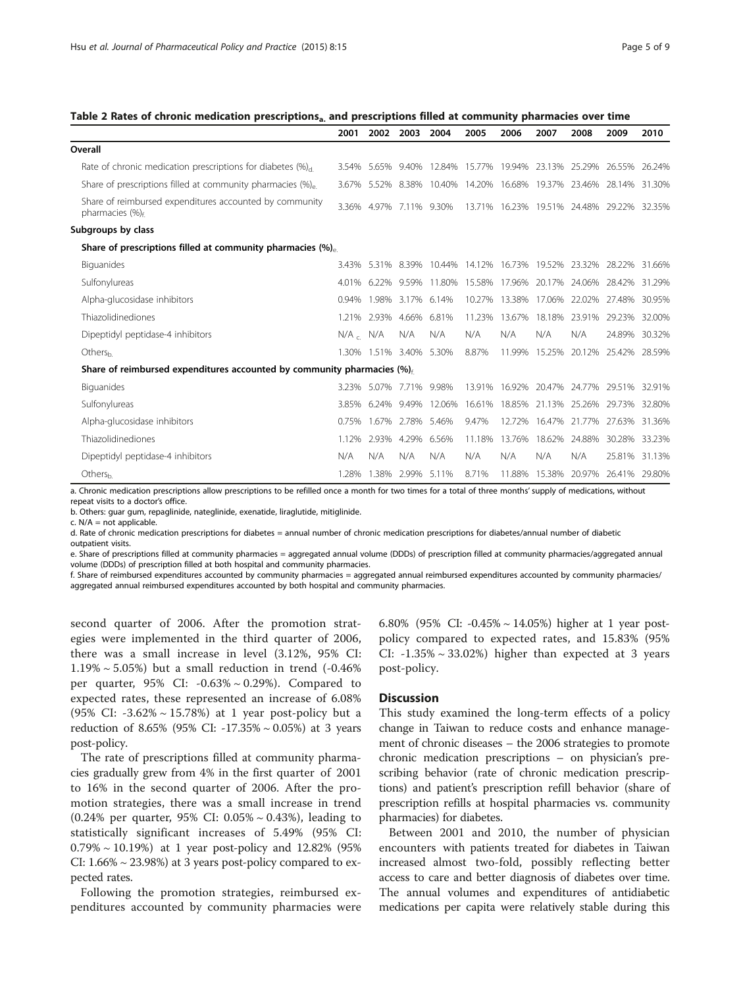<span id="page-4-0"></span>Table 2 Rates of chronic medication prescriptions<sub>a</sub> and prescriptions filled at community pharmacies over time

|                                                                                | 2001          | 2002                    | 2003              | 2004         | 2005   | 2006   | 2007                        | 2008   | 2009                               | 2010   |
|--------------------------------------------------------------------------------|---------------|-------------------------|-------------------|--------------|--------|--------|-----------------------------|--------|------------------------------------|--------|
| Overall                                                                        |               |                         |                   |              |        |        |                             |        |                                    |        |
| Rate of chronic medication prescriptions for diabetes (%) <sub>d</sub>         |               | 3.54% 5.65%             |                   | 9.40% 12.84% | 15.77% |        | 19.94% 23.13% 25.29%        |        | 26.55% 26.24%                      |        |
| Share of prescriptions filled at community pharmacies (%).                     | 3.67%         |                         | 5.52% 8.38%       | 10.40%       | 14.20% |        | 16.68% 19.37%               | 23.46% | 28.14% 31.30%                      |        |
| Share of reimbursed expenditures accounted by community<br>pharmacies $(\%)_f$ |               | 3.36% 4.97% 7.11% 9.30% |                   |              |        |        | 13.71% 16.23% 19.51% 24.48% |        | 29.22% 32.35%                      |        |
| Subgroups by class                                                             |               |                         |                   |              |        |        |                             |        |                                    |        |
| Share of prescriptions filled at community pharmacies (%)                      |               |                         |                   |              |        |        |                             |        |                                    |        |
| Biguanides                                                                     | 3.43%         |                         | 5.31% 8.39%       | 10.44%       | 14.12% |        | 16.73% 19.52%               | 23.32% | 28.22% 31.66%                      |        |
| Sulfonylureas                                                                  | 4.01%         | 6.22% 9.59%             |                   | 11.80%       | 15.58% |        | 17.96% 20.17%               | 24.06% | 28.42% 31.29%                      |        |
| Alpha-glucosidase inhibitors                                                   | 0.94%         | 1.98%                   | 3.17%             | 6.14%        | 10.27% | 13.38% | 17.06%                      | 22.02% | 27.48%                             | 30.95% |
| Thiazolidinediones                                                             | 1.21%         | 2.93% 4.66%             |                   | 6.81%        | 11.23% | 13.67% | 18.18%                      | 23.91% | 29.23%                             | 32.00% |
| Dipeptidyl peptidase-4 inhibitors                                              | $N/A_c$ $N/A$ |                         | N/A               | N/A          | N/A    | N/A    | N/A                         | N/A    | 24.89% 30.32%                      |        |
| Others <sub>b</sub>                                                            | 1.30%         | 1.51% 3.40%             |                   | 5.30%        | 8.87%  |        | 11.99% 15.25%               | 20.12% | 25.42% 28.59%                      |        |
| Share of reimbursed expenditures accounted by community pharmacies $(\%)_f$    |               |                         |                   |              |        |        |                             |        |                                    |        |
| Biguanides                                                                     | 3.23%         |                         | 5.07% 7.71%       | 9.98%        | 13.91% |        | 16.92% 20.47% 24.77%        |        | 29.51% 32.91%                      |        |
| Sulfonylureas                                                                  | 3.85%         | 6.24% 9.49%             |                   | 12.06%       | 16.61% |        | 18.85% 21.13%               | 25.26% | 29.73%                             | 32.80% |
| Alpha-glucosidase inhibitors                                                   | 0.75%         |                         | 1.67% 2.78% 5.46% |              | 9.47%  |        |                             |        | 12.72% 16.47% 21.77% 27.63% 31.36% |        |
| Thiazolidinediones                                                             | 1.12%         | 2.93%                   | 4.29%             | 6.56%        | 11.18% | 13.76% | 18.62%                      | 24.88% | 30.28%                             | 33.23% |
| Dipeptidyl peptidase-4 inhibitors                                              | N/A           | N/A                     | N/A               | N/A          | N/A    | N/A    | N/A                         | N/A    | 25.81%                             | 31.13% |
| Others <sub>h</sub>                                                            | 1.28%         | 1.38%                   | 2.99%             | 5.11%        | 8.71%  | 11.88% | 15.38%                      | 20.97% | 26.41% 29.80%                      |        |

a. Chronic medication prescriptions allow prescriptions to be refilled once a month for two times for a total of three months' supply of medications, without repeat visits to a doctor's office.

b. Others: guar gum, repaglinide, nateglinide, exenatide, liraglutide, mitiglinide.

c.  $N/A$  = not applicable.

d. Rate of chronic medication prescriptions for diabetes = annual number of chronic medication prescriptions for diabetes/annual number of diabetic outpatient visits.

e. Share of prescriptions filled at community pharmacies = aggregated annual volume (DDDs) of prescription filled at community pharmacies/aggregated annual volume (DDDs) of prescription filled at both hospital and community pharmacies.

f. Share of reimbursed expenditures accounted by community pharmacies = aggregated annual reimbursed expenditures accounted by community pharmacies/ aggregated annual reimbursed expenditures accounted by both hospital and community pharmacies.

second quarter of 2006. After the promotion strategies were implemented in the third quarter of 2006, there was a small increase in level (3.12%, 95% CI:  $1.19\% \sim 5.05\%$ ) but a small reduction in trend (-0.46%) per quarter, 95% CI: -0.63% ~ 0.29%). Compared to expected rates, these represented an increase of 6.08% (95% CI: -3.62% ~ 15.78%) at 1 year post-policy but a reduction of 8.65% (95% CI: -17.35% ~ 0.05%) at 3 years post-policy.

The rate of prescriptions filled at community pharmacies gradually grew from 4% in the first quarter of 2001 to 16% in the second quarter of 2006. After the promotion strategies, there was a small increase in trend (0.24% per quarter, 95% CI: 0.05% ~ 0.43%), leading to statistically significant increases of 5.49% (95% CI:  $0.79\% \sim 10.19\%$ ) at 1 year post-policy and 12.82% (95%) CI:  $1.66\% \sim 23.98\%$ ) at 3 years post-policy compared to expected rates.

Following the promotion strategies, reimbursed expenditures accounted by community pharmacies were 6.80% (95% CI: -0.45% ~ 14.05%) higher at 1 year postpolicy compared to expected rates, and 15.83% (95% CI:  $-1.35\% \sim 33.02\%$  higher than expected at 3 years post-policy.

# **Discussion**

This study examined the long-term effects of a policy change in Taiwan to reduce costs and enhance management of chronic diseases – the 2006 strategies to promote chronic medication prescriptions – on physician's prescribing behavior (rate of chronic medication prescriptions) and patient's prescription refill behavior (share of prescription refills at hospital pharmacies vs. community pharmacies) for diabetes.

Between 2001 and 2010, the number of physician encounters with patients treated for diabetes in Taiwan increased almost two-fold, possibly reflecting better access to care and better diagnosis of diabetes over time. The annual volumes and expenditures of antidiabetic medications per capita were relatively stable during this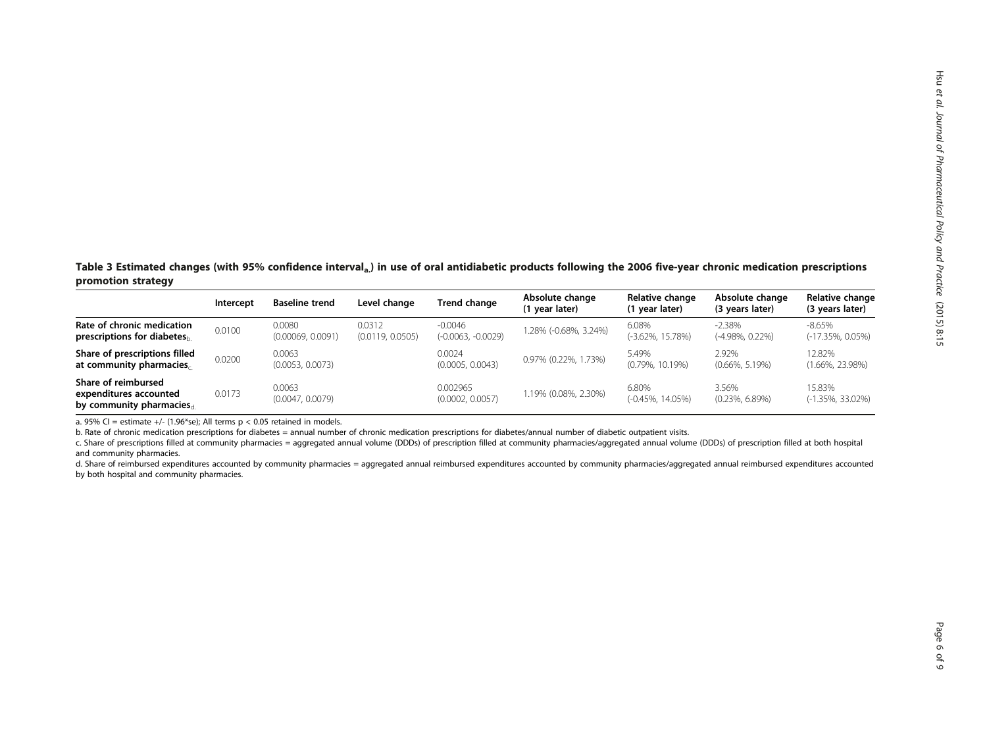<span id="page-5-0"></span>Table 3 Estimated changes (with 95% confidence interval<sub>a.</sub>) in use of oral antidiabetic products following the 2006 five-year chronic medication prescriptions promotion strategy

|                                                                                     | Intercept | <b>Baseline trend</b>       | Level change               | Trend change                      | Absolute change<br>(1 year later) | Relative change<br>(1 year later) | Absolute change<br>(3 years later) | Relative change<br>(3 years later) |
|-------------------------------------------------------------------------------------|-----------|-----------------------------|----------------------------|-----------------------------------|-----------------------------------|-----------------------------------|------------------------------------|------------------------------------|
| Rate of chronic medication<br>prescriptions for diabetes $_{b}$                     | 0.0100    | 0.0080<br>(0.00069, 0.0091) | 0.0312<br>(0.0119, 0.0505) | $-0.0046$<br>$(-0.0063, -0.0029)$ | 1.28% (-0.68%, 3.24%)             | 6.08%<br>$(-3.62\%, 15.78\%)$     | $-2.38%$<br>$(-4.98\%, 0.22\%)$    | -8.65%<br>(-17.35%, 0.05%)         |
| Share of prescriptions filled<br>at community pharmacies                            | 0.0200    | 0.0063<br>(0.0053, 0.0073)  |                            | 0.0024<br>(0.0005, 0.0043)        | 0.97% (0.22%, 1.73%)              | 5.49%<br>$(0.79\%, 10.19\%)$      | 2.92%<br>$(0.66\%, 5.19\%)$        | 12.82%<br>$(1.66\%, 23.98\%)$      |
| Share of reimbursed<br>expenditures accounted<br>by community pharmacies $_{\rm d}$ | 0.0173    | 0.0063<br>(0.0047, 0.0079)  |                            | 0.002965<br>(0.0002, 0.0057)      | 1.19% (0.08%, 2.30%)              | 6.80%<br>$(-0.45\%, 14.05\%)$     | 3.56%<br>$(0.23\%, 6.89\%)$        | 15.83%<br>(-1.35%, 33.02%)         |

a. 95% CI = estimate  $+/-$  (1.96\*se); All terms  $p < 0.05$  retained in models.

b. Rate of chronic medication prescriptions for diabetes = annual number of chronic medication prescriptions for diabetes/annual number of diabetic outpatient visits.

c. Share of prescriptions filled at community pharmacies = aggregated annual volume (DDDs) of prescription filled at community pharmacies/aggregated annual volume (DDDs) of prescription filled at both hospital and community pharmacies.

d. Share of reimbursed expenditures accounted by community pharmacies = aggregated annual reimbursed expenditures accounted by community pharmacies/aggregated annual reimbursed expenditures accounted by both hospital and community pharmacies.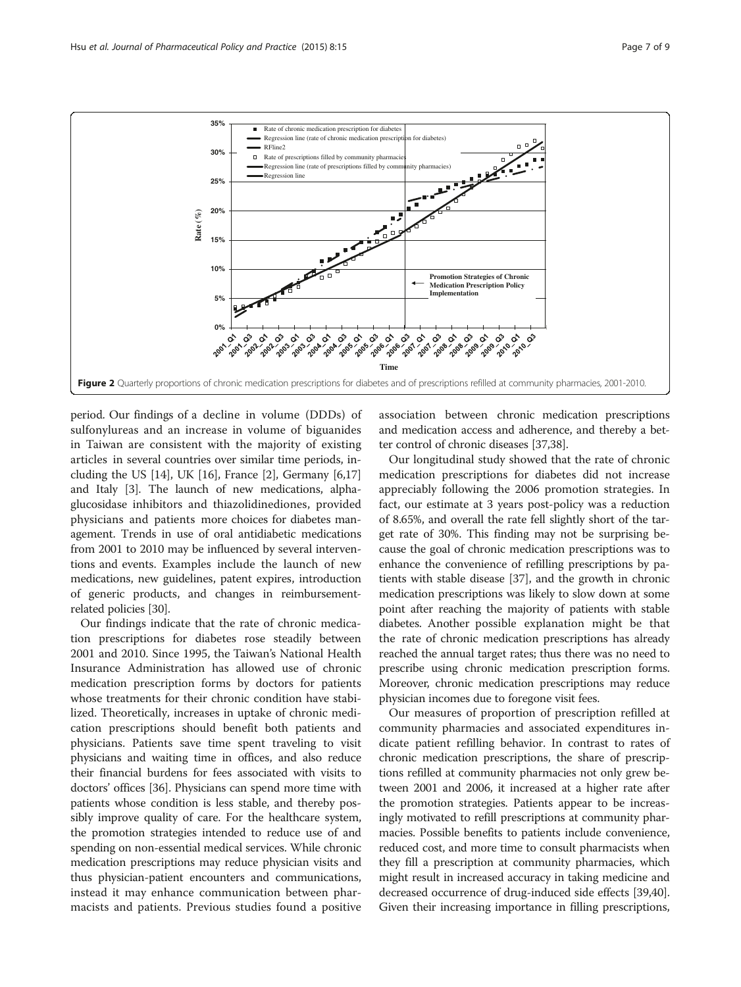<span id="page-6-0"></span>

period. Our findings of a decline in volume (DDDs) of sulfonylureas and an increase in volume of biguanides in Taiwan are consistent with the majority of existing articles in several countries over similar time periods, including the US [\[14\]](#page-8-0), UK [\[16](#page-8-0)], France [[2\]](#page-7-0), Germany [[6,17](#page-8-0)] and Italy [\[3](#page-7-0)]. The launch of new medications, alphaglucosidase inhibitors and thiazolidinediones, provided physicians and patients more choices for diabetes management. Trends in use of oral antidiabetic medications from 2001 to 2010 may be influenced by several interventions and events. Examples include the launch of new medications, new guidelines, patent expires, introduction of generic products, and changes in reimbursementrelated policies [\[30\]](#page-8-0).

Our findings indicate that the rate of chronic medication prescriptions for diabetes rose steadily between 2001 and 2010. Since 1995, the Taiwan's National Health Insurance Administration has allowed use of chronic medication prescription forms by doctors for patients whose treatments for their chronic condition have stabilized. Theoretically, increases in uptake of chronic medication prescriptions should benefit both patients and physicians. Patients save time spent traveling to visit physicians and waiting time in offices, and also reduce their financial burdens for fees associated with visits to doctors' offices [[36](#page-8-0)]. Physicians can spend more time with patients whose condition is less stable, and thereby possibly improve quality of care. For the healthcare system, the promotion strategies intended to reduce use of and spending on non-essential medical services. While chronic medication prescriptions may reduce physician visits and thus physician-patient encounters and communications, instead it may enhance communication between pharmacists and patients. Previous studies found a positive association between chronic medication prescriptions and medication access and adherence, and thereby a better control of chronic diseases [[37,38\]](#page-8-0).

Our longitudinal study showed that the rate of chronic medication prescriptions for diabetes did not increase appreciably following the 2006 promotion strategies. In fact, our estimate at 3 years post-policy was a reduction of 8.65%, and overall the rate fell slightly short of the target rate of 30%. This finding may not be surprising because the goal of chronic medication prescriptions was to enhance the convenience of refilling prescriptions by patients with stable disease [\[37](#page-8-0)], and the growth in chronic medication prescriptions was likely to slow down at some point after reaching the majority of patients with stable diabetes. Another possible explanation might be that the rate of chronic medication prescriptions has already reached the annual target rates; thus there was no need to prescribe using chronic medication prescription forms. Moreover, chronic medication prescriptions may reduce physician incomes due to foregone visit fees.

Our measures of proportion of prescription refilled at community pharmacies and associated expenditures indicate patient refilling behavior. In contrast to rates of chronic medication prescriptions, the share of prescriptions refilled at community pharmacies not only grew between 2001 and 2006, it increased at a higher rate after the promotion strategies. Patients appear to be increasingly motivated to refill prescriptions at community pharmacies. Possible benefits to patients include convenience, reduced cost, and more time to consult pharmacists when they fill a prescription at community pharmacies, which might result in increased accuracy in taking medicine and decreased occurrence of drug-induced side effects [\[39,40](#page-8-0)]. Given their increasing importance in filling prescriptions,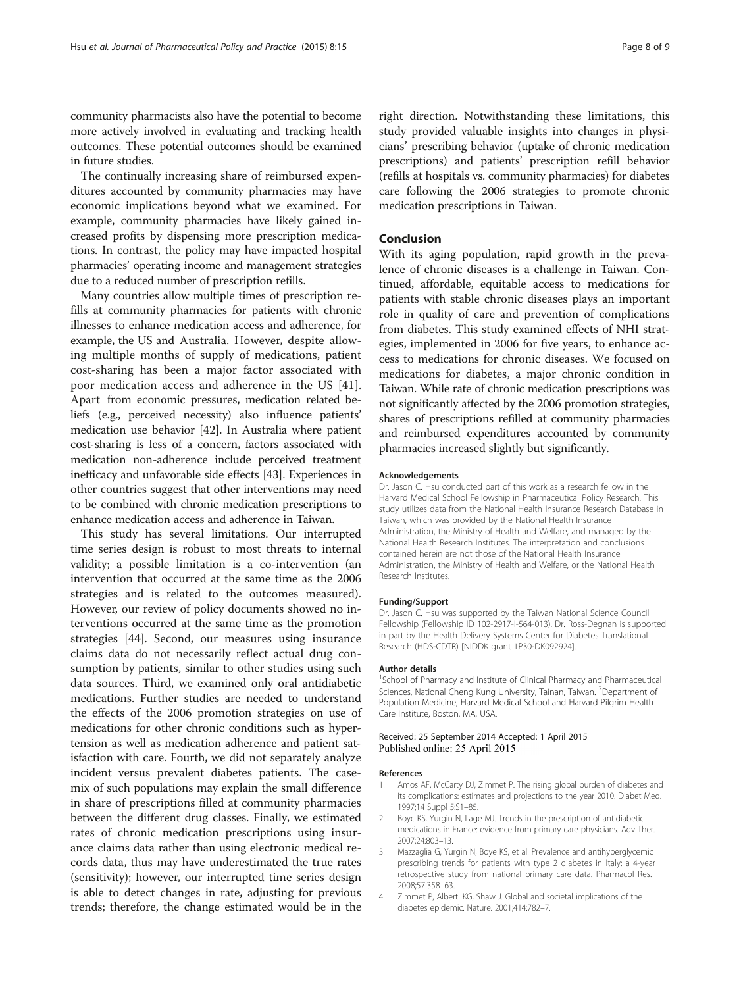<span id="page-7-0"></span>The continually increasing share of reimbursed expenditures accounted by community pharmacies may have economic implications beyond what we examined. For example, community pharmacies have likely gained increased profits by dispensing more prescription medications. In contrast, the policy may have impacted hospital pharmacies' operating income and management strategies due to a reduced number of prescription refills.

Many countries allow multiple times of prescription refills at community pharmacies for patients with chronic illnesses to enhance medication access and adherence, for example, the US and Australia. However, despite allowing multiple months of supply of medications, patient cost-sharing has been a major factor associated with poor medication access and adherence in the US [\[41](#page-8-0)]. Apart from economic pressures, medication related beliefs (e.g., perceived necessity) also influence patients' medication use behavior [[42](#page-8-0)]. In Australia where patient cost-sharing is less of a concern, factors associated with medication non-adherence include perceived treatment inefficacy and unfavorable side effects [\[43\]](#page-8-0). Experiences in other countries suggest that other interventions may need to be combined with chronic medication prescriptions to enhance medication access and adherence in Taiwan.

This study has several limitations. Our interrupted time series design is robust to most threats to internal validity; a possible limitation is a co-intervention (an intervention that occurred at the same time as the 2006 strategies and is related to the outcomes measured). However, our review of policy documents showed no interventions occurred at the same time as the promotion strategies [\[44](#page-8-0)]. Second, our measures using insurance claims data do not necessarily reflect actual drug consumption by patients, similar to other studies using such data sources. Third, we examined only oral antidiabetic medications. Further studies are needed to understand the effects of the 2006 promotion strategies on use of medications for other chronic conditions such as hypertension as well as medication adherence and patient satisfaction with care. Fourth, we did not separately analyze incident versus prevalent diabetes patients. The casemix of such populations may explain the small difference in share of prescriptions filled at community pharmacies between the different drug classes. Finally, we estimated rates of chronic medication prescriptions using insurance claims data rather than using electronic medical records data, thus may have underestimated the true rates (sensitivity); however, our interrupted time series design is able to detect changes in rate, adjusting for previous trends; therefore, the change estimated would be in the

right direction. Notwithstanding these limitations, this study provided valuable insights into changes in physicians' prescribing behavior (uptake of chronic medication prescriptions) and patients' prescription refill behavior (refills at hospitals vs. community pharmacies) for diabetes care following the 2006 strategies to promote chronic medication prescriptions in Taiwan.

#### Conclusion

With its aging population, rapid growth in the prevalence of chronic diseases is a challenge in Taiwan. Continued, affordable, equitable access to medications for patients with stable chronic diseases plays an important role in quality of care and prevention of complications from diabetes. This study examined effects of NHI strategies, implemented in 2006 for five years, to enhance access to medications for chronic diseases. We focused on medications for diabetes, a major chronic condition in Taiwan. While rate of chronic medication prescriptions was not significantly affected by the 2006 promotion strategies, shares of prescriptions refilled at community pharmacies and reimbursed expenditures accounted by community pharmacies increased slightly but significantly.

#### Acknowledgements

Dr. Jason C. Hsu conducted part of this work as a research fellow in the Harvard Medical School Fellowship in Pharmaceutical Policy Research. This study utilizes data from the National Health Insurance Research Database in Taiwan, which was provided by the National Health Insurance Administration, the Ministry of Health and Welfare, and managed by the National Health Research Institutes. The interpretation and conclusions contained herein are not those of the National Health Insurance Administration, the Ministry of Health and Welfare, or the National Health Research Institutes.

#### Funding/Support

Dr. Jason C. Hsu was supported by the Taiwan National Science Council Fellowship (Fellowship ID 102-2917-I-564-013). Dr. Ross-Degnan is supported in part by the Health Delivery Systems Center for Diabetes Translational Research (HDS-CDTR) [NIDDK grant 1P30-DK092924].

#### Author details

<sup>1</sup>School of Pharmacy and Institute of Clinical Pharmacy and Pharmaceutical Sciences, National Cheng Kung University, Tainan, Taiwan. <sup>2</sup>Department of Population Medicine, Harvard Medical School and Harvard Pilgrim Health Care Institute, Boston, MA, USA.

#### Received: 25 September 2014 Accepted: 1 April 2015 Published online: 25 April 2015

#### References

- Amos AF, McCarty DJ, Zimmet P. The rising global burden of diabetes and its complications: estimates and projections to the year 2010. Diabet Med. 1997;14 Suppl 5:S1–85.
- 2. Boyc KS, Yurgin N, Lage MJ. Trends in the prescription of antidiabetic medications in France: evidence from primary care physicians. Adv Ther. 2007;24:803–13.
- 3. Mazzaglia G, Yurgin N, Boye KS, et al. Prevalence and antihyperglycemic prescribing trends for patients with type 2 diabetes in Italy: a 4-year retrospective study from national primary care data. Pharmacol Res. 2008;57:358–63.
- 4. Zimmet P, Alberti KG, Shaw J. Global and societal implications of the diabetes epidemic. Nature. 2001;414:782–7.